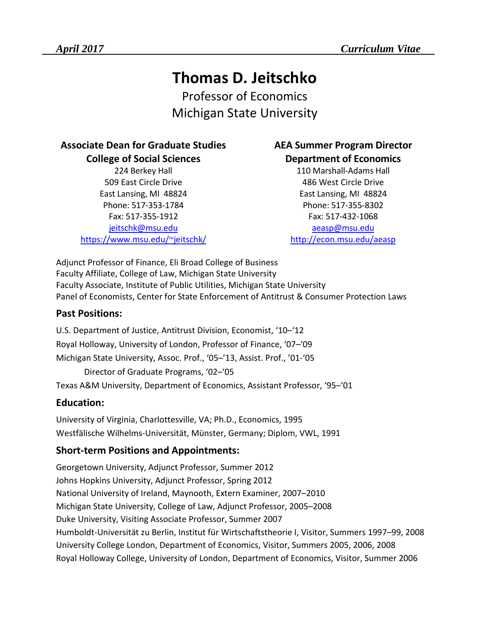# **Thomas D. Jeitschko**

Professor of Economics Michigan State University

#### **Associate Dean for Graduate Studies College of Social Sciences**

224 Berkey Hall 509 East Circle Drive East Lansing, MI 48824 Phone: 517-353-1784 Fax: 517-355-1912 [jeitschk@msu.edu](mailto:jeitschk@msu.edu) <https://www.msu.edu/~jeitschk/>

## **AEA Summer Program Director Department of Economics**

110 Marshall-Adams Hall 486 West Circle Drive East Lansing, MI 48824 Phone: 517-355-8302 Fax: 517-432-1068 [aeasp@msu.edu](mailto:aeasp@msu.edu) <http://econ.msu.edu/aeasp>

Adjunct Professor of Finance, Eli Broad College of Business Faculty Affiliate, College of Law, Michigan State University Faculty Associate, Institute of Public Utilities, Michigan State University Panel of Economists, Center for State Enforcement of Antitrust & Consumer Protection Laws

### **Past Positions:**

U.S. Department of Justice, Antitrust Division, Economist, '10–'12 Royal Holloway, University of London, Professor of Finance, '07–'09 Michigan State University, Assoc. Prof., '05–'13, Assist. Prof., '01-'05 Director of Graduate Programs, '02–'05 Texas A&M University, Department of Economics, Assistant Professor, '95–'01

## **Education:**

University of Virginia, Charlottesville, VA; Ph.D., Economics, 1995 Westfälische Wilhelms-Universität, Münster, Germany; Diplom, VWL, 1991

## **Short-term Positions and Appointments:**

Georgetown University, Adjunct Professor, Summer 2012 Johns Hopkins University, Adjunct Professor, Spring 2012 National University of Ireland, Maynooth, Extern Examiner, 2007–2010 Michigan State University, College of Law, Adjunct Professor, 2005–2008 Duke University, Visiting Associate Professor, Summer 2007 Humboldt-Universität zu Berlin, Institut für Wirtschaftstheorie I, Visitor, Summers 1997–99, 2008 University College London, Department of Economics, Visitor, Summers 2005, 2006, 2008 Royal Holloway College, University of London, Department of Economics, Visitor, Summer 2006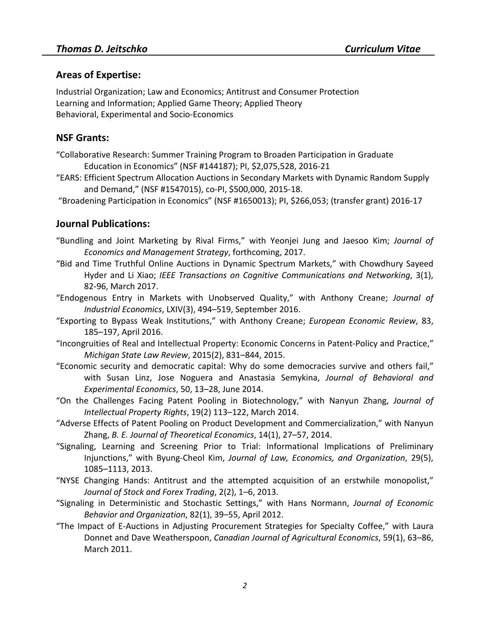#### **Areas of Expertise:**

Industrial Organization; Law and Economics; Antitrust and Consumer Protection Learning and Information; Applied Game Theory; Applied Theory Behavioral, Experimental and Socio-Economics

#### **NSF Grants:**

- ["Collaborative Research: Summer Training Program to Broaden Participation in Graduate](https://www.nsf.gov/awardsearch/showAward?AWD_ID=1560846&HistoricalAwards=false)  [Education in Economics"](https://www.nsf.gov/awardsearch/showAward?AWD_ID=1560846&HistoricalAwards=false) (NSF #144187); PI, \$2,075,528, 2016-21
- ["EARS: Efficient Spectrum Allocation Auctions in Secondary Markets with Dynamic Random Supply](http://nsf.gov/awardsearch/showAward?AWD_ID=1547015&HistoricalAwards=false)  [and Demand,](http://nsf.gov/awardsearch/showAward?AWD_ID=1547015&HistoricalAwards=false)" (NSF #1547015), co-PI, \$500,000, 2015-18.
- ["Broadening Participation in Economics"](https://www.nsf.gov/awardsearch/showAward?AWD_ID=1650013&HistoricalAwards=false) (NSF #1650013); PI, \$266,053; (transfer grant) 2016-17

#### **Journal Publications:**

- ["Bundling and Joint Marketing by Rival Firms,](http://www.dice.hhu.de/fileadmin/redaktion/Fakultaeten/Wirtschaftswissenschaftliche_Fakultaet/DICE/Discussion_Paper/144_Jeitschko_Jung_Kim.pdf)" with Yeonjei Jung and Jaesoo Kim; *Journal of Economics and Management Strategy*, forthcoming, 2017.
- ["Bid and Time Truthful Online Auctions in Dynamic Spectrum Markets,](http://ieeexplore.ieee.org/document/7856937/)" with Chowdhury Sayeed Hyder and Li Xiao; *IEEE Transactions on Cognitive Communications and Networking*, 3(1), 82-96, March 2017.
- ["Endogenous Entry in Markets with Unobserved](http://onlinelibrary.wiley.com/doi/10.1111/joie.12113/full) Quality," with Anthony Creane; *Journal of Industrial Economics*, LXIV(3), 494–519, September 2016.
- ["Exporting to Bypass Weak Institutions,](http://www.sciencedirect.com/science/article/pii/S0014292116000027)" with Anthony Creane; *European Economic Review*, 83, 185–197, April 2016.
- ["Incongruities of Real and Intellectual Property: Economic Concerns in Patent-Policy and Practice,](http://digitalcommons.law.msu.edu/lr/vol2015/iss2/13/)" *Michigan State Law Review*, 2015(2), 831–844, 2015.
- ["Economic security and democratic capital: Why do some democracies survive and others fail,](http://www.sciencedirect.com/science/article/pii/S2214804314000238)" with Susan Linz, Jose Noguera and Anastasia Semykina, *Journal of Behavioral and Experimental Economics*, 50, 13–28, June 2014.
- ["On the Challenges Facing Patent Pooling in Biotechnology,](http://nopr.niscair.res.in/bitstream/123456789/27800/1/JIPR%2019%282%29%20113-122.pdf)" with Nanyun Zhang, *Journal of Intellectual Property Rights*, 19(2) 113–122, March 2014.
- ["Adverse Effects of Patent Pooling on Product Development and Commercialization,](http://www.degruyter.com/view/j/bejte.2014.14.issue-1/bejte-2013-0038/bejte-2013-0038.xml?format=INT)" with Nanyun Zhang, *B. E. Journal of Theoretical Economics*, 14(1), 27–57, 2014.
- ["Signaling, Learning and Screening Prior to Trial: Informational Implications of Preliminary](http://jleo.oxfordjournals.org/cgi/content/full/ews015?ijkey=MxOebzs5WbXR1nN&keytype=ref)  [Injunctions,](http://jleo.oxfordjournals.org/cgi/content/full/ews015?ijkey=MxOebzs5WbXR1nN&keytype=ref)" with Byung-Cheol Kim, *Journal of Law, Economics, and Organization*, 29(5), 1085–1113, 2013.
- ["NYSE Changing Hands: Antitrust and the attempted acquisition of an erstwhile monopolist,](http://www.omicsgroup.org/journals/nyse-changing-hands-antitrust-and-attempted-acquisitions-of-an-erstwhile-monopoly-2168-9458-2-109.pdf)" *Journal of Stock and Forex Trading*, 2(2), 1–6, 2013.
- ["Signaling in Deterministic](http://www.sciencedirect.com/science/article/pii/S016726811100285X) and Stochastic Settings," with Hans Normann, *Journal of Economic Behavior and Organization*, 82(1), 39–55, April 2012.
- ["The Impact of E-Auctions in Adjusting Procurement Strategies for Specialty Coffee,](http://onlinelibrary.wiley.com/doi/10.1111/j.1744-7976.2010.01191.x/abstract)" with Laura Donnet and Dave Weatherspoon, *Canadian Journal of Agricultural Economics*, 59(1), 63–86, March 2011.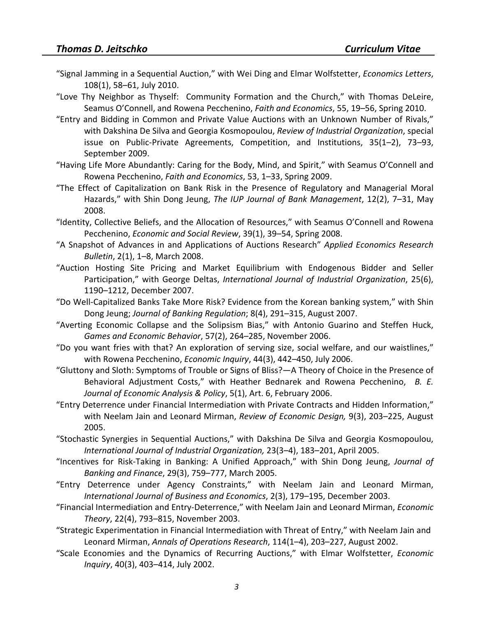- ["Signal Jamming in a Sequential Auction,](http://dx.doi.org/10.1016/j.econlet.2010.04.008)" with Wei Ding and Elmar Wolfstetter, *Economics Letters*, 108(1), 58–61, July 2010.
- ["Love Thy Neighbor as Thyself: Community Formation and the Church,](http://papers.ssrn.com/sol3/papers.cfm?abstract_id=923086)" with Thomas DeLeire, Seamus O'Connell, and Rowena Pecchenino, *Faith and Economics*, 55, 19–56, Spring 2010.
- ["Entry and Bidding in Common and Private Value Auctions with an Unknown Number of Rivals,](http://www.springerlink.com/content/v2r45178l1854365/?p=c2e1edaf466241f09561b819d3762dd8&pi=3)" with Dakshina De Silva and Georgia Kosmopoulou, *Review of Industrial Organization*, special issue on Public-Private Agreements, Competition, and Institutions, 35(1–2), 73–93, September 2009.
- ["Having Life More Abundantly: Caring for the Body, Mind, and Spirit,](http://www.gordon.edu/ace/pdf/F&ESpr09Jeitschkoetal.pdf)" with Seamus O'Connell and Rowena Pecchenino, *Faith and Economics*, 53, 1–33, Spring 2009.
- ["The Effect of Capitalization on Bank Risk in the Presence of Regulatory and Managerial Moral](http://papers.ssrn.com/sol3/papers.cfm?abstract_id=1126108)  [Hazards,](http://papers.ssrn.com/sol3/papers.cfm?abstract_id=1126108)" with Shin Dong Jeung, *The IUP Journal of Bank Management*, 12(2), 7–31, May 2008.
- ["Identity, Collective Beliefs, and the Allocation of Resources,](http://www.esr.ie/Vol39_1/03%20Jeitschko.pdf)" with Seamus O'Connell and Rowena Pecchenino, *Economic and Social Review*, 39(1), 39–54, Spring 2008.
- ["A Snapshot of Advances in and Applications of Auctions Research"](http://berkeleymath.com/Documents/AERBSI01.pdf) *Applied Economics Research Bulletin*, 2(1), 1–8, March 2008.
- ["Auction Hosting Site Pricing and Market Equilibrium with Endogenous Bidder and Seller](http://dx.doi.org/10.1016/j.ijindorg.2007.04.010)  [Participation,](http://dx.doi.org/10.1016/j.ijindorg.2007.04.010)" with George Deltas, *International Journal of Industrial Organization*, 25(6), 1190–1212, December 2007.
- ["Do Well-Capitalized Banks Take More Risk? Evidence from the Korean banking system,](http://www.palgrave-journals.com/jbr/journal/v8/n4/abs/2350054a.html)" with Shin Dong Jeung; *Journal of Banking Regulation*; 8(4), 291–315, August 2007.
- ["Averting Economic Collapse and the Solipsism Bias,](http://dx.doi.org/10.1016/j.geb.2005.10.003)" with Antonio Guarino and Steffen Huck, *Games and Economic Behavior*, 57(2), 264–285, November 2006.
- ["Do you want fries with that? An exploration of serving size, social welfare, and our waistlines,](http://www3.interscience.wiley.com/journal/120806759/abstract)" with Rowena Pecchenino, *Economic Inquiry*, 44(3), 442–450, July 2006.
- ["Gluttony and Sloth: Symptoms of Trouble or Signs of Bliss?—A Theory of Choice in the Presence of](http://www.bepress.com/bejeap/contributions/vol5/iss1/art6)  [Behavioral Adjustment Costs,](http://www.bepress.com/bejeap/contributions/vol5/iss1/art6)" with Heather Bednarek and Rowena Pecchenino, *B. E. Journal of Economic Analysis & Policy*, 5(1), Art. 6, February 2006.
- ["Entry Deterrence under Financial Intermediation with Private Contracts and Hidden Information,](http://dx.doi.org/10.1007/s10058-005-0128-8)" with Neelam Jain and Leonard Mirman, *Review of Economic Design,* 9(3), 203–225, August 2005.
- ["Stochastic Synergies in Sequential Auctions,](http://dx.doi.org/10.1016/j.ijindorg.2005.01.003)" with Dakshina De Silva and Georgia Kosmopoulou, *International Journal of Industrial Organization,* 23(3–4), 183–201, April 2005.
- ["Incentives for Risk-Taking in Banking: A Unified Approach,](http://dx.doi.org/10.1016/j.jbankfin.2004.05.028)" with Shin Dong Jeung, *Journal of Banking and Finance*, 29(3), 759–777, March 2005.
- ["Entry Deterrence under Agency Constraints,](http://www.ijbe.org/table%20of%20content/pdf/vol2-3/vol2-3-02.PDF)" with Neelam Jain and Leonard Mirman, *International Journal of Business and Economics*, 2(3), 179–195, December 2003.
- ["Financial Intermediation and Entry-Deterrence,](http://dx.doi.org/10.1007/s00199-002-0351-2)" with Neelam Jain and Leonard Mirman, *Economic Theory*, 22(4), 793–815, November 2003.
- ["Strategic Experimentation in Financial Intermediation with Threat of Entry,](http://dx.doi.org/10.1023/A:1021070405196)" with Neelam Jain and Leonard Mirman, *Annals of Operations Research*, 114(1–4), 203–227, August 2002.
- ["Scale Economies and the Dynamics of Recurring Auctions,](http://www3.interscience.wiley.com/journal/120806523/abstract)" with Elmar Wolfstetter, *Economic Inquiry*, 40(3), 403–414, July 2002.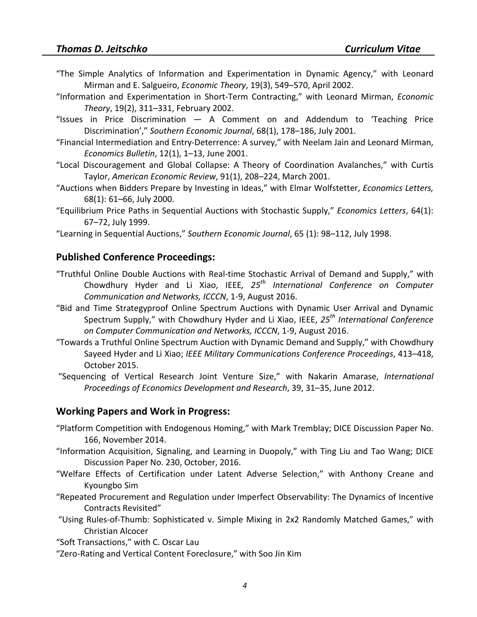- ["The Simple Analytics of Information and Experimentation in Dynamic Agency,](http://dx.doi.org/10.1007/s001990000156)" with Leonard Mirman and E. Salgueiro, *Economic Theory*, 19(3), 549–570, April 2002.
- ["Information and Experimentation in Short-Term Contracting,](http://dx.doi.org/10.1007/PL00004215)" with Leonard Mirman, *Economic Theory*, 19(2), 311–331, February 2002.
- "Issues in Price Discrimination [A Comment on and Addendum to 'Teaching Price](http://www.jstor.org/stable/1061521)  [Discrimination',](http://www.jstor.org/stable/1061521)" *Southern Economic Journal*, 68(1), 178–186, July 2001.
- ["Financial Intermediation and Entry-Deterrence: A survey,](http://economicsbulletin.vanderbilt.edu/2001/volume12/EB-01L10001A.pdf)" with Neelam Jain and Leonard Mirman, *Economics Bulletin*, 12(1), 1–13, June 2001.
- ["Local Discouragement and Global Collapse: A Theory of Coordination Avalanches,](http://links.jstor.org/sici?sici=0002-8282%28200103%2991%3A1%3C208%3ALDAGCA%3E2.0.CO%3B2-H)" with Curtis Taylor, *American Economic Review*, 91(1), 208–224, March 2001.
- ["Auctions when Bidders Prepare by Investing in Ideas,](http://dx.doi.org/10.1016/S0165-1765(00)00217-2)" with Elmar Wolfstetter, *Economics Letters,*  68(1): 61–66, July 2000.
- ["Equilibrium Price Paths in Sequential Auctions with Stochastic Supply,](http://dx.doi.org/10.1016/S0165-1765(99)00066-X)" *Economics Letters*, 64(1): 67–72, July 1999.
- ["Learning in Sequential Auctions,](http://links.jstor.org/sici?sici=0038-4038%28199807%2965%3A1%3C98%3ALISA%3E2.0.CO%3B2-T)" *Southern Economic Journal*, 65 (1): 98–112, July 1998.

#### **Published Conference Proceedings:**

- ["Truthful Online Double Auctions with Real-time Stochastic Arrival of Demand and Supply,](http://ieeexplore.ieee.org/document/7568591/)" with Chowdhury Hyder and Li Xiao, IEEE*, 25th International Conference on Computer Communication and Networks, ICCCN*, 1-9, August 2016.
- ["Bid and Time Strategyproof Online Spectrum Auctions with Dynamic User Arrival and Dynamic](http://ieeexplore.ieee.org/document/7568496/)  [Spectrum Supply,](http://ieeexplore.ieee.org/document/7568496/)" with Chowdhury Hyder and Li Xiao, IEEE, *25th International Conference on Computer Communication and Networks, ICCCN*, 1-9, August 2016.
- ["Towards a Truthful Online Spectrum Auction with Dynamic Demand and Supply,](http://ieeexplore.ieee.org/xpl/abstractAuthors.jsp?arnumber=7357478)" with Chowdhury Sayeed Hyder and Li Xiao; *IEEE Military Communications Conference Proceedings*, 413–418, October 2015.
- ["Sequencing of Vertical Research Joint Venture Size,](http://www.ipedr.com/vol39.htm)" with Nakarin Amarase, *International Proceedings of Economics Development and Research*, 39, 31–35, June 2012.

#### **Working Papers and Work in Progress:**

- ["Platform Competition with Endogenous Homing,](http://econstor.eu/bitstream/10419/103651/1/80327095X.pdf)" with Mark Tremblay; DICE Discussion Paper No. 166, November 2014.
- ["Information Acquisition, Signaling, and Learning in Duopoly,](http://www.dice.hhu.de/fileadmin/redaktion/Fakultaeten/Wirtschaftswissenschaftliche_Fakultaet/DICE/Discussion_Paper/230_Jeitschko_Liu_Wang.pdf)" with Ting Liu and Tao Wang; DICE Discussion Paper No. 230, October, 2016.
- "Welfare Effects of Certification under Latent Adverse Selection," with Anthony Creane and Kyoungbo Sim
- "Repeated Procurement and Regulation under Imperfect Observability: The Dynamics of Incentive Contracts Revisited"
- "Using Rules-of-Thumb: Sophisticated v. Simple Mixing in 2x2 Randomly Matched Games," with Christian Alcocer
- "Soft Transactions," with C. Oscar Lau
- "Zero-Rating and Vertical Content Foreclosure," with Soo Jin Kim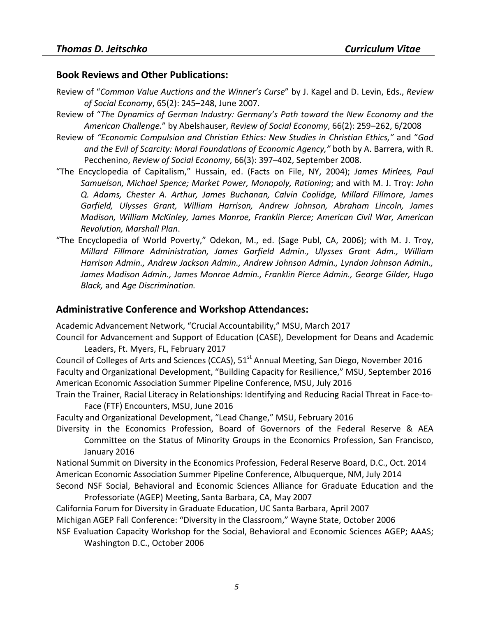#### **Book Reviews and Other Publications:**

- Review of "*[Common Value Auctions and the Winner's Curse](http://dx.doi.org/10.1080/00346760600712063)*" by J. Kagel and D. Levin, Eds., *Review of Social Economy*, 65(2): 245–248, June 2007.
- Review of "*The Dynamics of German Industry: Germany's Path toward the New Economy and the American Challenge.*" by Abelshauser, *Review of Social Economy*, 66(2): 259–262, 6/2008
- Review of *["Economic Compulsion and Christian Ethics: New Studies in Christian Ethics,"](http://www.informaworld.com/smpp/content~db=all~content=a902345267)* and "*God [and the Evil of Scarcity: Moral Foundations of Economic Agency,"](http://www.informaworld.com/smpp/content~db=all~content=a902345267)* both by A. Barrera, with R. Pecchenino, *Review of Social Economy*, 66(3): 397–402, September 2008.
- "The Encyclopedia of Capitalism," Hussain, ed. (Facts on File, NY, 2004); *James Mirlees, Paul Samuelson, Michael Spence; Market Power, Monopoly, Rationing*; and with M. J. Troy: *John Q. Adams, Chester A. Arthur, James Buchanan, Calvin Coolidge, Millard Fillmore, James Garfield, Ulysses Grant, William Harrison, Andrew Johnson, Abraham Lincoln, James Madison, William McKinley, James Monroe, Franklin Pierce; American Civil War, American Revolution, Marshall Plan*.
- "The Encyclopedia of World Poverty," Odekon, M., ed. (Sage Publ, CA, 2006); with M. J. Troy, *Millard Fillmore Administration, James Garfield Admin., Ulysses Grant Adm., William Harrison Admin., Andrew Jackson Admin., Andrew Johnson Admin., Lyndon Johnson Admin., James Madison Admin., James Monroe Admin., Franklin Pierce Admin., George Gilder, Hugo Black,* and *Age Discrimination.*

#### **Administrative Conference and Workshop Attendances:**

Academic Advancement Network, "Crucial Accountability," MSU, March 2017

Council for Advancement and Support of Education (CASE), Development for Deans and Academic Leaders, Ft. Myers, FL, February 2017

Council of Colleges of Arts and Sciences (CCAS), 51<sup>st</sup> Annual Meeting, San Diego, November 2016 Faculty and Organizational Development, "Building Capacity for Resilience," MSU, September 2016 American Economic Association Summer Pipeline Conference, MSU, July 2016

Train the Trainer, Racial Literacy in Relationships: Identifying and Reducing Racial Threat in Face-to-Face (FTF) Encounters, MSU, June 2016

Faculty and Organizational Development, "Lead Change," MSU, February 2016

Diversity in the Economics Profession, Board of Governors of the Federal Reserve & AEA Committee on the Status of Minority Groups in the Economics Profession, San Francisco, January 2016

National Summit on Diversity in the Economics Profession, Federal Reserve Board, D.C., Oct. 2014 American Economic Association Summer Pipeline Conference, Albuquerque, NM, July 2014

Second NSF Social, Behavioral and Economic Sciences Alliance for Graduate Education and the Professoriate (AGEP) Meeting, Santa Barbara, CA, May 2007

California Forum for Diversity in Graduate Education, UC Santa Barbara, April 2007

Michigan AGEP Fall Conference: "Diversity in the Classroom," Wayne State, October 2006

NSF Evaluation Capacity Workshop for the Social, Behavioral and Economic Sciences AGEP; AAAS; Washington D.C., October 2006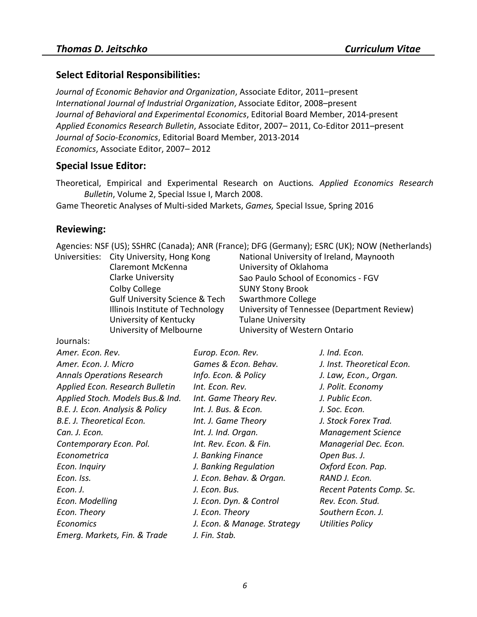#### **Select Editorial Responsibilities:**

*[Journal of Economic Behavior and Organization](http://www.journals.elsevier.com/journal-of-economic-behavior-and-organization/)*, Associate Editor, 2011–present *[International Journal of Industrial Organization](http://www.elsevier.com/wps/find/journaldescription.cws_home/505551/description#description)*, Associate Editor, 2008–present *[Journal of Behavioral and Experimental Economics](http://www.journals.elsevier.com/journal-of-socio-economics/)*, Editorial Board Member, 2014-present *[Applied Economics Research Bulletin](http://berkeleymath.com/BerkeleyJournal.aspx)*, Associate Editor, 2007– 2011, Co-Editor 2011–present *[Journal of Socio-Economics](http://www.journals.elsevier.com/journal-of-socio-economics/)*, Editorial Board Member, 2013-2014 *[Economics](http://www.economics-ejournal.org/)*, Associate Editor, 2007– 2012

#### **Special Issue Editor:**

[Theoretical, Empirical and Experimental Research on Auctions](http://berkeleymath.com/Documents/AERBSPI.pdf)*. Applied Economics Research Bulletin*, Volume 2, Special Issue I, March 2008.

[Game Theoretic Analyses of](http://www.mdpi.com/journal/games/special_issues/multi_sided_markets) Multi-sided Markets, *Games,* Special Issue, Spring 2016

#### **Reviewing:**

Agencies: NSF (US); SSHRC (Canada); ANR (France); DFG (Germany); ESRC (UK); NOW (Netherlands) Universities:

| City University, Hong Kong                | National University of Ireland, Maynooth    |
|-------------------------------------------|---------------------------------------------|
| Claremont McKenna                         | University of Oklahoma                      |
| <b>Clarke University</b>                  | Sao Paulo School of Economics - FGV         |
| Colby College                             | <b>SUNY Stony Brook</b>                     |
| <b>Gulf University Science &amp; Tech</b> | Swarthmore College                          |
| Illinois Institute of Technology          | University of Tennessee (Department Review) |
| University of Kentucky                    | <b>Tulane University</b>                    |
| University of Melbourne                   | University of Western Ontario               |
|                                           |                                             |

Journals:

| Amer. Econ. Rev.                  | Europ. Econ. Rev.           | J. Ind. Econ.              |
|-----------------------------------|-----------------------------|----------------------------|
| Amer. Econ. J. Micro              | Games & Econ. Behav.        | J. Inst. Theoretical Econ. |
| <b>Annals Operations Research</b> | Info. Econ. & Policy        | J. Law, Econ., Organ.      |
| Applied Econ. Research Bulletin   | Int. Econ. Rev.             | J. Polit. Economy          |
| Applied Stoch. Models Bus.& Ind.  | Int. Game Theory Rev.       | J. Public Econ.            |
| B.E. J. Econ. Analysis & Policy   | Int. J. Bus. & Econ.        | J. Soc. Econ.              |
| B.E. J. Theoretical Econ.         | Int. J. Game Theory         | J. Stock Forex Trad.       |
| Can. J. Econ.                     | Int. J. Ind. Organ.         | <b>Management Science</b>  |
| Contemporary Econ. Pol.           | Int. Rev. Econ. & Fin.      | Managerial Dec. Econ.      |
| Econometrica                      | J. Banking Finance          | Open Bus. J.               |
| Econ. Inquiry                     | J. Banking Regulation       | Oxford Econ. Pap.          |
| Econ. Iss.                        | J. Econ. Behav. & Organ.    | RAND J. Econ.              |
| Econ. J.                          | J. Econ. Bus.               | Recent Patents Comp. Sc.   |
| Econ. Modelling                   | J. Econ. Dyn. & Control     | Rev. Econ. Stud.           |
| Econ. Theory                      | J. Econ. Theory             | Southern Econ. J.          |
| <b>Economics</b>                  | J. Econ. & Manage. Strategy | <b>Utilities Policy</b>    |
| Emerg. Markets, Fin. & Trade      | J. Fin. Stab.               |                            |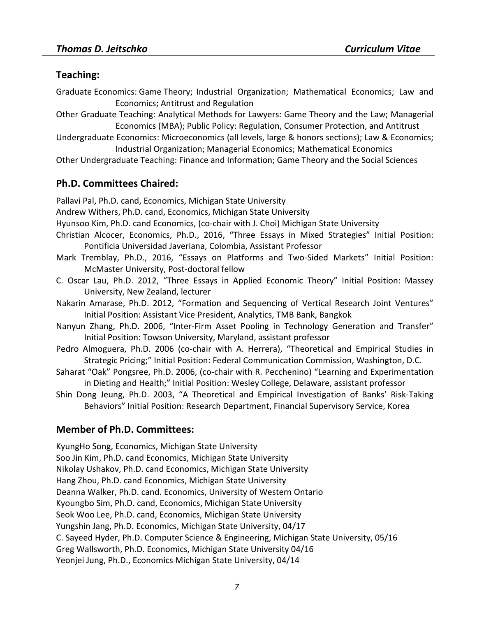#### **Teaching:**

- Graduate Economics: Game Theory; Industrial Organization; Mathematical Economics; Law and Economics; Antitrust and Regulation
- Other Graduate Teaching: Analytical Methods for Lawyers: Game Theory and the Law; Managerial Economics (MBA); Public Policy: Regulation, Consumer Protection, and Antitrust
- Undergraduate Economics: Microeconomics (all levels, large & honors sections); Law & Economics; Industrial Organization; Managerial Economics; Mathematical Economics
- Other Undergraduate Teaching: Finance and Information; Game Theory and the Social Sciences

## **Ph.D. Committees Chaired:**

Pallavi Pal, Ph.D. cand, Economics, Michigan State University

- Andrew Withers, Ph.D. cand, Economics, Michigan State University
- Hyunsoo Kim, Ph.D. cand Economics, (co-chair with J. Choi) Michigan State University
- Christian Alcocer, Economics, Ph.D., 2016, "Three Essays in Mixed Strategies" Initial Position: Pontificia Universidad Javeriana, Colombia, Assistant Professor
- Mark Tremblay, Ph.D., 2016, "Essays on Platforms and Two-Sided Markets" Initial Position: McMaster University, Post-doctoral fellow
- C. Oscar Lau, Ph.D. 2012, "Three Essays in Applied Economic Theory" Initial Position: Massey University, New Zealand, lecturer
- Nakarin Amarase, Ph.D. 2012, "Formation and Sequencing of Vertical Research Joint Ventures" Initial Position: Assistant Vice President, Analytics, TMB Bank, Bangkok
- Nanyun Zhang, Ph.D. 2006, "Inter-Firm Asset Pooling in Technology Generation and Transfer" Initial Position: Towson University, Maryland, assistant professor
- Pedro Almoguera, Ph.D. 2006 (co-chair with A. Herrera), "Theoretical and Empirical Studies in Strategic Pricing;" Initial Position: Federal Communication Commission, Washington, D.C.
- Saharat "Oak" Pongsree, Ph.D. 2006, (co-chair with R. Pecchenino) "Learning and Experimentation in Dieting and Health;" Initial Position: Wesley College, Delaware, assistant professor
- Shin Dong Jeung, Ph.D. 2003, "A Theoretical and Empirical Investigation of Banks' Risk-Taking Behaviors" Initial Position: Research Department, Financial Supervisory Service, Korea

## **Member of Ph.D. Committees:**

KyungHo Song, Economics, Michigan State University Soo Jin Kim, Ph.D. cand Economics, Michigan State University Nikolay Ushakov, Ph.D. cand Economics, Michigan State University Hang Zhou, Ph.D. cand Economics, Michigan State University Deanna Walker, Ph.D. cand. Economics, University of Western Ontario Kyoungbo Sim, Ph.D. cand, Economics, Michigan State University Seok Woo Lee, Ph.D. cand, Economics, Michigan State University Yungshin Jang, Ph.D. Economics, Michigan State University, 04/17 C. Sayeed Hyder, Ph.D. Computer Science & Engineering, Michigan State University, 05/16 Greg Wallsworth, Ph.D. Economics, Michigan State University 04/16 Yeonjei Jung, Ph.D., Economics Michigan State University, 04/14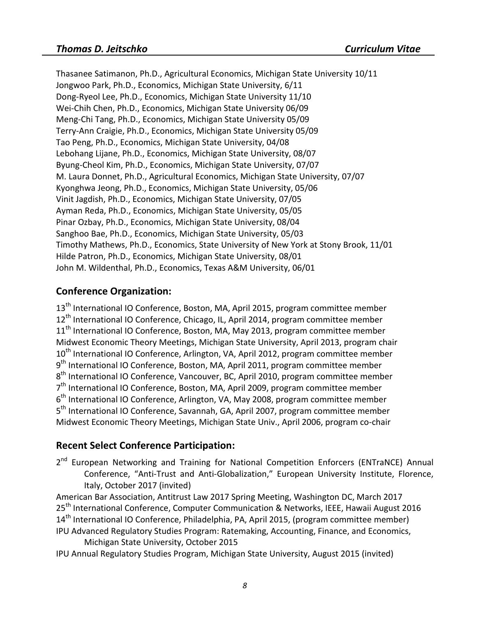Thasanee Satimanon, Ph.D., Agricultural Economics, Michigan State University 10/11 Jongwoo Park, Ph.D., Economics, Michigan State University, 6/11 Dong-Ryeol Lee, Ph.D., Economics, Michigan State University 11/10 Wei-Chih Chen, Ph.D., Economics, Michigan State University 06/09 Meng-Chi Tang, Ph.D., Economics, Michigan State University 05/09 Terry-Ann Craigie, Ph.D., Economics, Michigan State University 05/09 Tao Peng, Ph.D., Economics, Michigan State University, 04/08 Lebohang Lijane, Ph.D., Economics, Michigan State University, 08/07 Byung-Cheol Kim, Ph.D., Economics, Michigan State University, 07/07 M. Laura Donnet, Ph.D., Agricultural Economics, Michigan State University, 07/07 Kyonghwa Jeong, Ph.D., Economics, Michigan State University, 05/06 Vinit Jagdish, Ph.D., Economics, Michigan State University, 07/05 Ayman Reda, Ph.D., Economics, Michigan State University, 05/05 Pinar Ozbay, Ph.D., Economics, Michigan State University, 08/04 Sanghoo Bae, Ph.D., Economics, Michigan State University, 05/03 Timothy Mathews, Ph.D., Economics, State University of New York at Stony Brook, 11/01 Hilde Patron, Ph.D., Economics, Michigan State University, 08/01 John M. Wildenthal, Ph.D., Economics, Texas A&M University, 06/01

#### **Conference Organization:**

13<sup>th</sup> International IO Conference, Boston, MA, April 2015, program committee member 12<sup>th</sup> International IO Conference, Chicago, IL, April 2014, program committee member 11<sup>th</sup> International IO Conference, Boston, MA, May 2013, program committee member Midwest Economic Theory Meetings, Michigan State University, April 2013, program chair 10<sup>th</sup> International IO Conference, Arlington, VA, April 2012, program committee member  $9<sup>th</sup>$  International IO Conference, Boston, MA, April 2011, program committee member 8<sup>th</sup> International IO Conference, Vancouver, BC, April 2010, program committee member  $7<sup>th</sup>$  International IO Conference, Boston, MA, April 2009, program committee member  $6<sup>th</sup>$  International IO Conference, Arlington, VA, May 2008, program committee member 5<sup>th</sup> International IO Conference, Savannah, GA, April 2007, program committee member Midwest Economic Theory Meetings, Michigan State Univ., April 2006, program co-chair

#### **Recent Select Conference Participation:**

2<sup>nd</sup> European Networking and Training for National Competition Enforcers (ENTraNCE) Annual Conference, "Anti-Trust and Anti-Globalization," European University Institute, Florence, Italy, October 2017 (invited)

American Bar Association, Antitrust Law 2017 Spring Meeting, Washington DC, March 2017 25<sup>th</sup> International Conference, Computer Communication & Networks, IEEE, Hawaii August 2016 14<sup>th</sup> International IO Conference, Philadelphia, PA, April 2015, (program committee member)

- IPU Advanced Regulatory Studies Program: Ratemaking, Accounting, Finance, and Economics, Michigan State University, October 2015
- IPU Annual Regulatory Studies Program, Michigan State University, August 2015 (invited)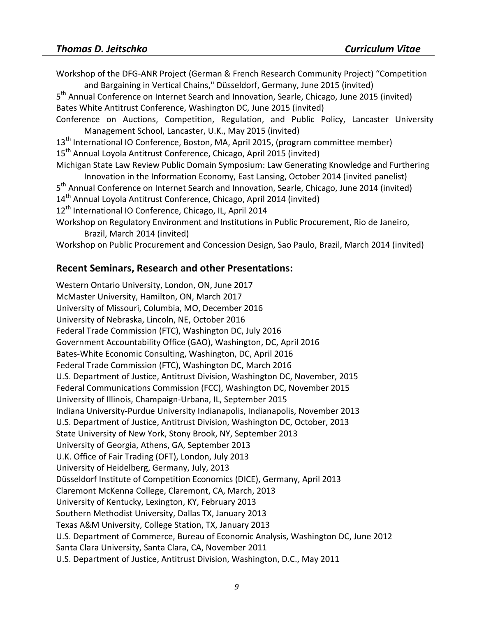Workshop of the DFG-ANR Project (German & French Research Community Project) "Competition and Bargaining in Vertical Chains," Düsseldorf, Germany, June 2015 (invited) 5<sup>th</sup> Annual Conference on Internet Search and Innovation, Searle, Chicago, June 2015 (invited) Bates White Antitrust Conference, Washington DC, June 2015 (invited) Conference on Auctions, Competition, Regulation, and Public Policy, Lancaster University Management School, Lancaster, U.K., May 2015 (invited) 13<sup>th</sup> International IO Conference, Boston, MA, April 2015, (program committee member) 15<sup>th</sup> Annual Loyola Antitrust Conference, Chicago, April 2015 (invited) Michigan State Law Review Public Domain Symposium: Law Generating Knowledge and Furthering Innovation in the Information Economy, East Lansing, October 2014 (invited panelist) 5<sup>th</sup> Annual Conference on Internet Search and Innovation, Searle, Chicago, June 2014 (invited) 14<sup>th</sup> Annual Loyola Antitrust Conference, Chicago, April 2014 (invited) 12<sup>th</sup> International IO Conference, Chicago, IL, April 2014 Workshop on Regulatory Environment and Institutions in Public Procurement, Rio de Janeiro, Brazil, March 2014 (invited) Workshop on Public Procurement and Concession Design, Sao Paulo, Brazil, March 2014 (invited)

#### **Recent Seminars, Research and other Presentations:**

Western Ontario University, London, ON, June 2017 McMaster University, Hamilton, ON, March 2017 University of Missouri, Columbia, MO, December 2016 University of Nebraska, Lincoln, NE, October 2016 Federal Trade Commission (FTC), Washington DC, July 2016 Government Accountability Office (GAO), Washington, DC, April 2016 Bates-White Economic Consulting, Washington, DC, April 2016 Federal Trade Commission (FTC), Washington DC, March 2016 U.S. Department of Justice, Antitrust Division, Washington DC, November, 2015 Federal Communications Commission (FCC), Washington DC, November 2015 University of Illinois, Champaign-Urbana, IL, September 2015 Indiana University-Purdue University Indianapolis, Indianapolis, November 2013 U.S. Department of Justice, Antitrust Division, Washington DC, October, 2013 State University of New York, Stony Brook, NY, September 2013 University of Georgia, Athens, GA, September 2013 U.K. Office of Fair Trading (OFT), London, July 2013 University of Heidelberg, Germany, July, 2013 Düsseldorf Institute of Competition Economics (DICE), Germany, April 2013 Claremont McKenna College, Claremont, CA, March, 2013 University of Kentucky, Lexington, KY, February 2013 Southern Methodist University, Dallas TX, January 2013 Texas A&M University, College Station, TX, January 2013 U.S. Department of Commerce, Bureau of Economic Analysis, Washington DC, June 2012 Santa Clara University, Santa Clara, CA, November 2011 U.S. Department of Justice, Antitrust Division, Washington, D.C., May 2011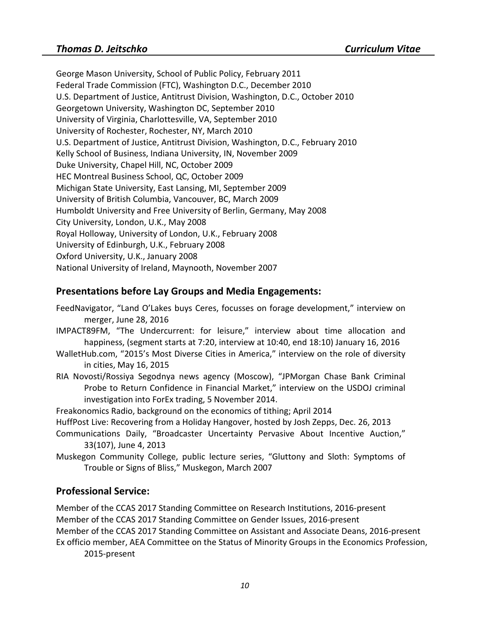George Mason University, School of Public Policy, February 2011 Federal Trade Commission (FTC), Washington D.C., December 2010 U.S. Department of Justice, Antitrust Division, Washington, D.C., October 2010 Georgetown University, Washington DC, September 2010 University of Virginia, Charlottesville, VA, September 2010 University of Rochester, Rochester, NY, March 2010 U.S. Department of Justice, Antitrust Division, Washington, D.C., February 2010 Kelly School of Business, Indiana University, IN, November 2009 Duke University, Chapel Hill, NC, October 2009 HEC Montreal Business School, QC, October 2009 Michigan State University, East Lansing, MI, September 2009 University of British Columbia, Vancouver, BC, March 2009 Humboldt University and Free University of Berlin, Germany, May 2008 City University, London, U.K., May 2008 Royal Holloway, University of London, U.K., February 2008 University of Edinburgh, U.K., February 2008 Oxford University, U.K., January 2008 National University of Ireland, Maynooth, November 2007

## **Presentations before Lay Groups and Media Engagements:**

- FeedNavigator, ["Land O'Lakes buys Ceres, focusses on forage development,](http://www.feednavigator.com/Manufacturers/Land-O-Lakes-buys-Ceres-focuses-on-forage-development)" interview on merger, June 28, 2016
- IMPACT89FM, ["The Undercurrent: for leisure,"](http://impact89fm.org/blog/s2e1-for-leisure/) interview about time allocation and happiness, (segment starts at 7:20, interview at 10:40, end 18:10) January 16, 2016
- WalletHub.com, ["2015's Most Diverse Cities in America," i](https://wallethub.com/edu/most-diverse-cities/12690/#thomas-d-jeitschko)nterview on the role of diversity in cities, May 16, 2015
- RIA Novosti/Rossiya Segodnya news agency (Moscow), ["JPMorgan Chase Bank Criminal](http://sputniknews.com/analysis/20141105/1014308931.html)  [Probe to Return Confidence in Financial Market,](http://sputniknews.com/analysis/20141105/1014308931.html)" interview on the USDOJ criminal investigation into ForEx trading, 5 November 2014.

Freakonomics Radio, background on the economics of tithing; April 2014

HuffPost Live: Recovering from a Holiday Hangover, hosted by Josh Zepps, Dec. 26, 2013

- Communications Daily, "Broadcaster Uncertainty Pervasive About Incentive Auction," 33(107), June 4, 2013
- Muskegon Community College, public lecture series, "Gluttony and Sloth: Symptoms of Trouble or Signs of Bliss," Muskegon, March 2007

## **Professional Service:**

Member of the CCAS 2017 Standing Committee on Research Institutions, 2016-present Member of the CCAS 2017 Standing Committee on Gender Issues, 2016-present Member of the CCAS 2017 Standing Committee on Assistant and Associate Deans, 2016-present Ex officio member, AEA Committee on the Status of Minority Groups in the Economics Profession, 2015-present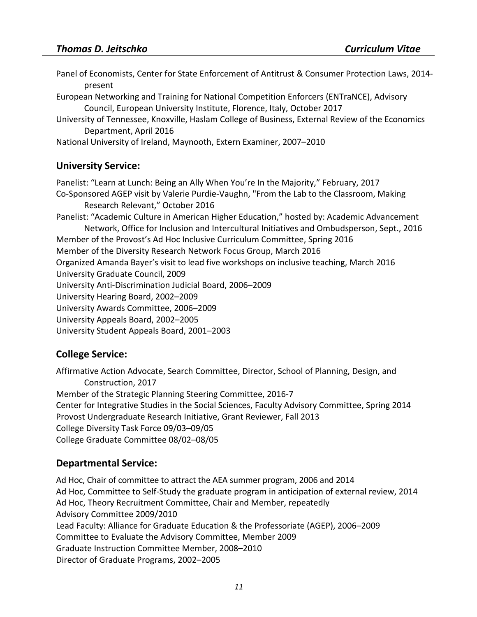| Panel of Economists, Center for State Enforcement of Antitrust & Consumer Protection Laws, 2014-<br>present                                                                                                                                                                                                                                                                                                                                                                                                                                                                                                                                                                                                                                                                                                                                     |
|-------------------------------------------------------------------------------------------------------------------------------------------------------------------------------------------------------------------------------------------------------------------------------------------------------------------------------------------------------------------------------------------------------------------------------------------------------------------------------------------------------------------------------------------------------------------------------------------------------------------------------------------------------------------------------------------------------------------------------------------------------------------------------------------------------------------------------------------------|
| European Networking and Training for National Competition Enforcers (ENTraNCE), Advisory<br>Council, European University Institute, Florence, Italy, October 2017                                                                                                                                                                                                                                                                                                                                                                                                                                                                                                                                                                                                                                                                               |
| University of Tennessee, Knoxville, Haslam College of Business, External Review of the Economics<br>Department, April 2016                                                                                                                                                                                                                                                                                                                                                                                                                                                                                                                                                                                                                                                                                                                      |
| National University of Ireland, Maynooth, Extern Examiner, 2007-2010                                                                                                                                                                                                                                                                                                                                                                                                                                                                                                                                                                                                                                                                                                                                                                            |
| <b>University Service:</b>                                                                                                                                                                                                                                                                                                                                                                                                                                                                                                                                                                                                                                                                                                                                                                                                                      |
| Panelist: "Learn at Lunch: Being an Ally When You're In the Majority," February, 2017<br>Co-Sponsored AGEP visit by Valerie Purdie-Vaughn, "From the Lab to the Classroom, Making<br>Research Relevant," October 2016<br>Panelist: "Academic Culture in American Higher Education," hosted by: Academic Advancement<br>Network, Office for Inclusion and Intercultural Initiatives and Ombudsperson, Sept., 2016<br>Member of the Provost's Ad Hoc Inclusive Curriculum Committee, Spring 2016<br>Member of the Diversity Research Network Focus Group, March 2016<br>Organized Amanda Bayer's visit to lead five workshops on inclusive teaching, March 2016<br>University Graduate Council, 2009<br>University Anti-Discrimination Judicial Board, 2006-2009<br>University Hearing Board, 2002-2009<br>University Awards Committee, 2006-2009 |
| University Appeals Board, 2002-2005<br>University Student Appeals Board, 2001-2003                                                                                                                                                                                                                                                                                                                                                                                                                                                                                                                                                                                                                                                                                                                                                              |
| <b>College Service:</b>                                                                                                                                                                                                                                                                                                                                                                                                                                                                                                                                                                                                                                                                                                                                                                                                                         |

Affirmative Action Advocate, Search Committee, Director, School of Planning, Design, and Construction, 2017 Member of the Strategic Planning Steering Committee, 2016-7 Center for Integrative Studies in the Social Sciences, Faculty Advisory Committee, Spring 2014 Provost Undergraduate Research Initiative, Grant Reviewer, Fall 2013 College Diversity Task Force 09/03–09/05 College Graduate Committee 08/02–08/05

## **Departmental Service:**

Ad Hoc, Chair of committee to attract the AEA summer program, 2006 and 2014 Ad Hoc, Committee to Self-Study the graduate program in anticipation of external review, 2014 Ad Hoc, Theory Recruitment Committee, Chair and Member, repeatedly Advisory Committee 2009/2010 Lead Faculty: Alliance for Graduate Education & the Professoriate (AGEP), 2006–2009 Committee to Evaluate the Advisory Committee, Member 2009 Graduate Instruction Committee Member, 2008–2010 Director of Graduate Programs, 2002–2005